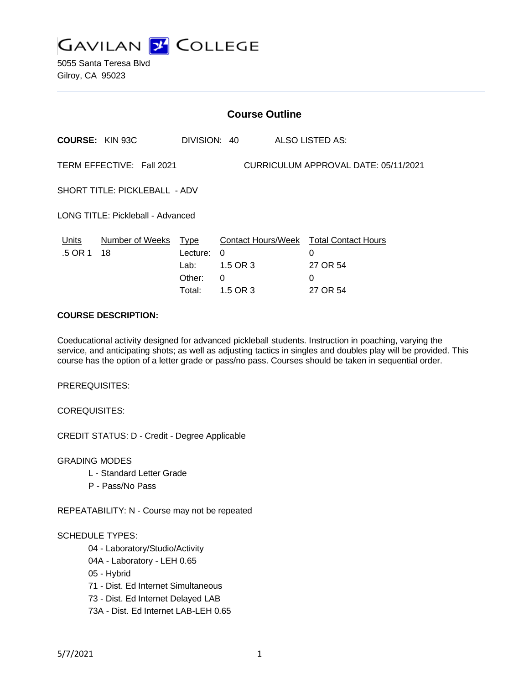

5055 Santa Teresa Blvd Gilroy, CA 95023

| <b>Course Outline</b>      |                                                                                                                                          |                           |                                                                                                                      |
|----------------------------|------------------------------------------------------------------------------------------------------------------------------------------|---------------------------|----------------------------------------------------------------------------------------------------------------------|
|                            |                                                                                                                                          |                           |                                                                                                                      |
|                            |                                                                                                                                          |                           |                                                                                                                      |
|                            |                                                                                                                                          |                           |                                                                                                                      |
|                            |                                                                                                                                          |                           |                                                                                                                      |
| Lecture:<br>Lab:<br>Other: | 0<br>1.5 OR 3<br>0                                                                                                                       | 0<br>27 OR 54<br>$\Omega$ |                                                                                                                      |
|                            | TERM EFFECTIVE: Fall 2021<br><b>SHORT TITLE: PICKLEBALL - ADV</b><br>LONG TITLE: Pickleball - Advanced<br>Number of Weeks Type<br>Total: | DIVISION: 40<br>1.5 OR 3  | <b>ALSO LISTED AS:</b><br>CURRICULUM APPROVAL DATE: 05/11/2021<br>Contact Hours/Week Total Contact Hours<br>27 OR 54 |

#### **COURSE DESCRIPTION:**

Coeducational activity designed for advanced pickleball students. Instruction in poaching, varying the service, and anticipating shots; as well as adjusting tactics in singles and doubles play will be provided. This course has the option of a letter grade or pass/no pass. Courses should be taken in sequential order.

PREREQUISITES:

COREQUISITES:

CREDIT STATUS: D - Credit - Degree Applicable

GRADING MODES

- L Standard Letter Grade
- P Pass/No Pass

REPEATABILITY: N - Course may not be repeated

#### SCHEDULE TYPES:

04 - Laboratory/Studio/Activity

- 04A Laboratory LEH 0.65
- 05 Hybrid
- 71 Dist. Ed Internet Simultaneous
- 73 Dist. Ed Internet Delayed LAB
- 73A Dist. Ed Internet LAB-LEH 0.65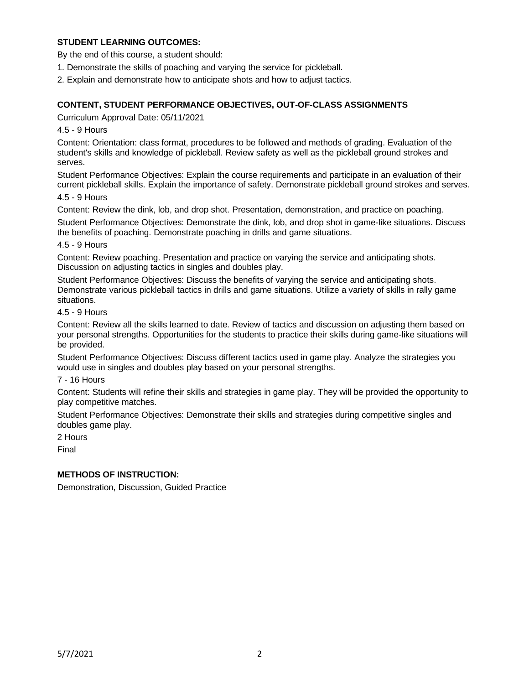# **STUDENT LEARNING OUTCOMES:**

By the end of this course, a student should:

- 1. Demonstrate the skills of poaching and varying the service for pickleball.
- 2. Explain and demonstrate how to anticipate shots and how to adjust tactics.

### **CONTENT, STUDENT PERFORMANCE OBJECTIVES, OUT-OF-CLASS ASSIGNMENTS**

Curriculum Approval Date: 05/11/2021

4.5 - 9 Hours

Content: Orientation: class format, procedures to be followed and methods of grading. Evaluation of the student's skills and knowledge of pickleball. Review safety as well as the pickleball ground strokes and serves.

Student Performance Objectives: Explain the course requirements and participate in an evaluation of their current pickleball skills. Explain the importance of safety. Demonstrate pickleball ground strokes and serves.

4.5 - 9 Hours

Content: Review the dink, lob, and drop shot. Presentation, demonstration, and practice on poaching.

Student Performance Objectives: Demonstrate the dink, lob, and drop shot in game-like situations. Discuss the benefits of poaching. Demonstrate poaching in drills and game situations.

4.5 - 9 Hours

Content: Review poaching. Presentation and practice on varying the service and anticipating shots. Discussion on adjusting tactics in singles and doubles play.

Student Performance Objectives: Discuss the benefits of varying the service and anticipating shots. Demonstrate various pickleball tactics in drills and game situations. Utilize a variety of skills in rally game situations.

4.5 - 9 Hours

Content: Review all the skills learned to date. Review of tactics and discussion on adjusting them based on your personal strengths. Opportunities for the students to practice their skills during game-like situations will be provided.

Student Performance Objectives: Discuss different tactics used in game play. Analyze the strategies you would use in singles and doubles play based on your personal strengths.

7 - 16 Hours

Content: Students will refine their skills and strategies in game play. They will be provided the opportunity to play competitive matches.

Student Performance Objectives: Demonstrate their skills and strategies during competitive singles and doubles game play.

2 Hours

Final

### **METHODS OF INSTRUCTION:**

Demonstration, Discussion, Guided Practice